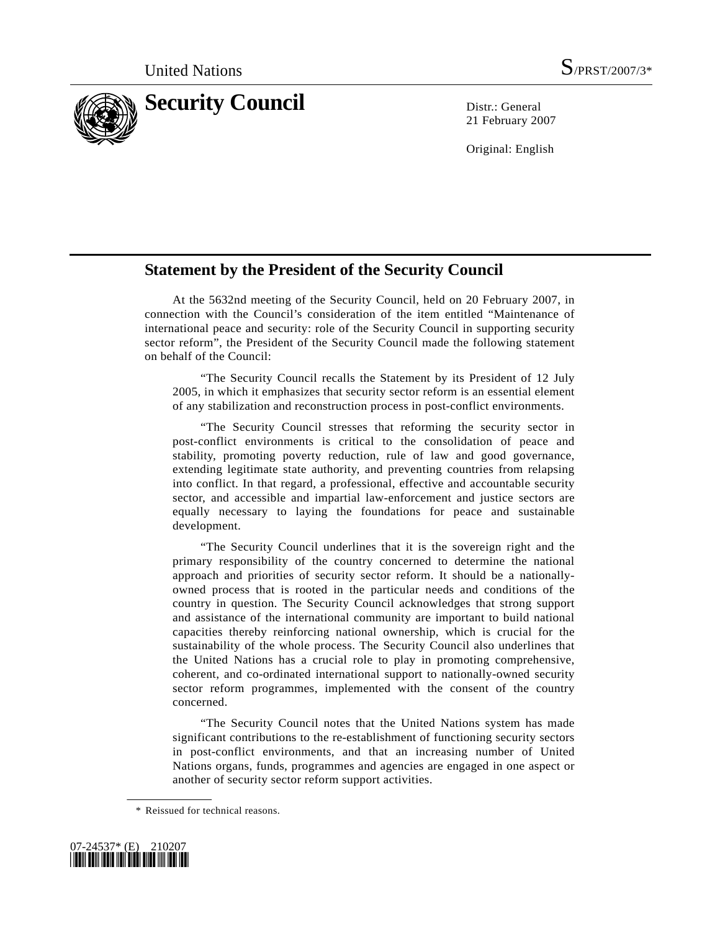

21 February 2007

Original: English

## **Statement by the President of the Security Council**

 At the 5632nd meeting of the Security Council, held on 20 February 2007, in connection with the Council's consideration of the item entitled "Maintenance of international peace and security: role of the Security Council in supporting security sector reform", the President of the Security Council made the following statement on behalf of the Council:

 "The Security Council recalls the Statement by its President of 12 July 2005, in which it emphasizes that security sector reform is an essential element of any stabilization and reconstruction process in post-conflict environments.

 "The Security Council stresses that reforming the security sector in post-conflict environments is critical to the consolidation of peace and stability, promoting poverty reduction, rule of law and good governance, extending legitimate state authority, and preventing countries from relapsing into conflict. In that regard, a professional, effective and accountable security sector, and accessible and impartial law-enforcement and justice sectors are equally necessary to laying the foundations for peace and sustainable development.

 "The Security Council underlines that it is the sovereign right and the primary responsibility of the country concerned to determine the national approach and priorities of security sector reform. It should be a nationallyowned process that is rooted in the particular needs and conditions of the country in question. The Security Council acknowledges that strong support and assistance of the international community are important to build national capacities thereby reinforcing national ownership, which is crucial for the sustainability of the whole process. The Security Council also underlines that the United Nations has a crucial role to play in promoting comprehensive, coherent, and co-ordinated international support to nationally-owned security sector reform programmes, implemented with the consent of the country concerned.

 "The Security Council notes that the United Nations system has made significant contributions to the re-establishment of functioning security sectors in post-conflict environments, and that an increasing number of United Nations organs, funds, programmes and agencies are engaged in one aspect or another of security sector reform support activities.

 <sup>\*</sup> Reissued for technical reasons.

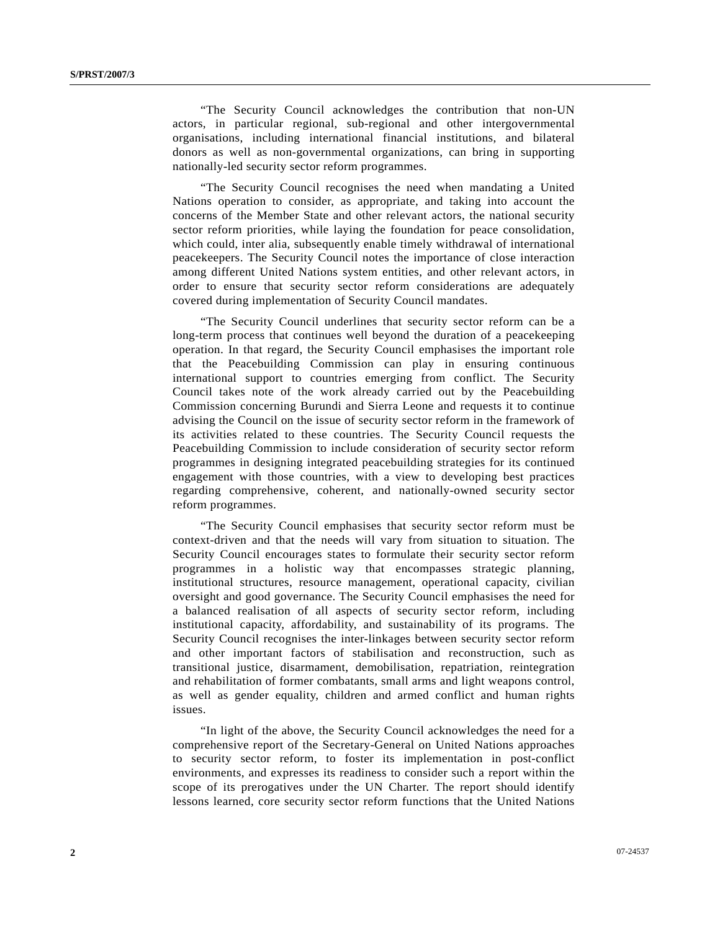"The Security Council acknowledges the contribution that non-UN actors, in particular regional, sub-regional and other intergovernmental organisations, including international financial institutions, and bilateral donors as well as non-governmental organizations, can bring in supporting nationally-led security sector reform programmes.

 "The Security Council recognises the need when mandating a United Nations operation to consider, as appropriate, and taking into account the concerns of the Member State and other relevant actors, the national security sector reform priorities, while laying the foundation for peace consolidation, which could, inter alia, subsequently enable timely withdrawal of international peacekeepers. The Security Council notes the importance of close interaction among different United Nations system entities, and other relevant actors, in order to ensure that security sector reform considerations are adequately covered during implementation of Security Council mandates.

 "The Security Council underlines that security sector reform can be a long-term process that continues well beyond the duration of a peacekeeping operation. In that regard, the Security Council emphasises the important role that the Peacebuilding Commission can play in ensuring continuous international support to countries emerging from conflict. The Security Council takes note of the work already carried out by the Peacebuilding Commission concerning Burundi and Sierra Leone and requests it to continue advising the Council on the issue of security sector reform in the framework of its activities related to these countries. The Security Council requests the Peacebuilding Commission to include consideration of security sector reform programmes in designing integrated peacebuilding strategies for its continued engagement with those countries, with a view to developing best practices regarding comprehensive, coherent, and nationally-owned security sector reform programmes.

 "The Security Council emphasises that security sector reform must be context-driven and that the needs will vary from situation to situation. The Security Council encourages states to formulate their security sector reform programmes in a holistic way that encompasses strategic planning, institutional structures, resource management, operational capacity, civilian oversight and good governance. The Security Council emphasises the need for a balanced realisation of all aspects of security sector reform, including institutional capacity, affordability, and sustainability of its programs. The Security Council recognises the inter-linkages between security sector reform and other important factors of stabilisation and reconstruction, such as transitional justice, disarmament, demobilisation, repatriation, reintegration and rehabilitation of former combatants, small arms and light weapons control, as well as gender equality, children and armed conflict and human rights issues.

 "In light of the above, the Security Council acknowledges the need for a comprehensive report of the Secretary-General on United Nations approaches to security sector reform, to foster its implementation in post-conflict environments, and expresses its readiness to consider such a report within the scope of its prerogatives under the UN Charter. The report should identify lessons learned, core security sector reform functions that the United Nations